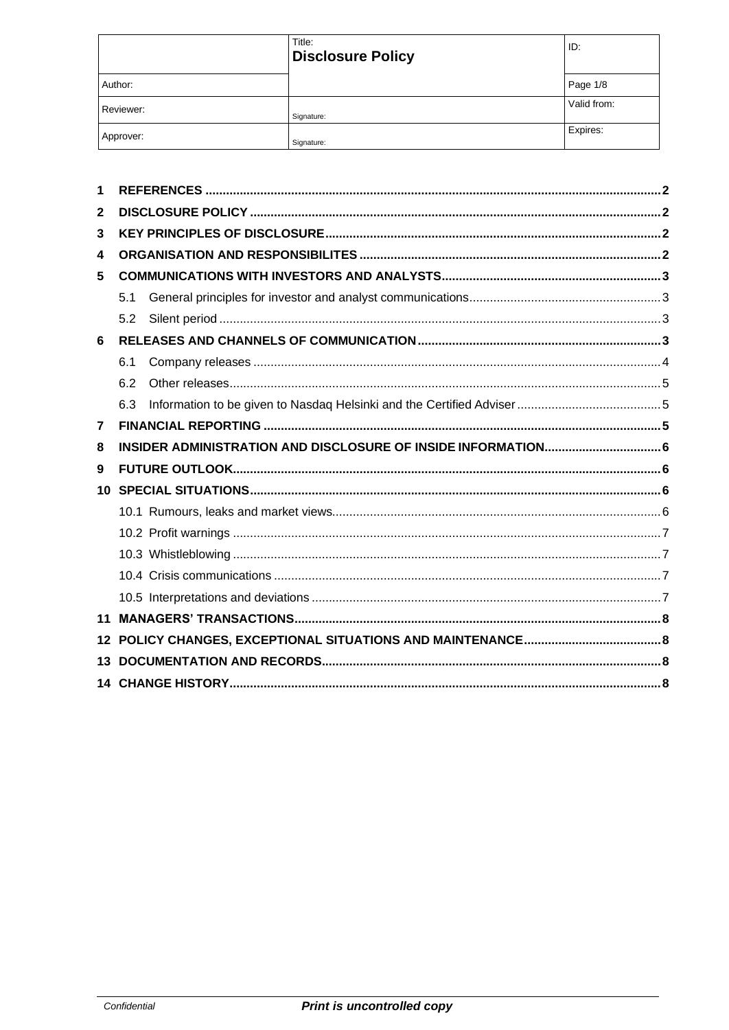|           | Title:<br><b>Disclosure Policy</b> | ID:         |
|-----------|------------------------------------|-------------|
| Author:   |                                    | Page 1/8    |
| Reviewer: | Signature:                         | Valid from: |
| Approver: | Signature:                         | Expires:    |

| 1            |     |  |
|--------------|-----|--|
| $\mathbf{2}$ |     |  |
| 3            |     |  |
| 4            |     |  |
| 5            |     |  |
|              | 5.1 |  |
|              | 5.2 |  |
| 6            |     |  |
|              | 6.1 |  |
|              | 6.2 |  |
|              | 6.3 |  |
| 7            |     |  |
| 8            |     |  |
| 9            |     |  |
|              |     |  |
|              |     |  |
|              |     |  |
|              |     |  |
|              |     |  |
|              |     |  |
| 11           |     |  |
| 12           |     |  |
|              |     |  |
|              |     |  |
|              |     |  |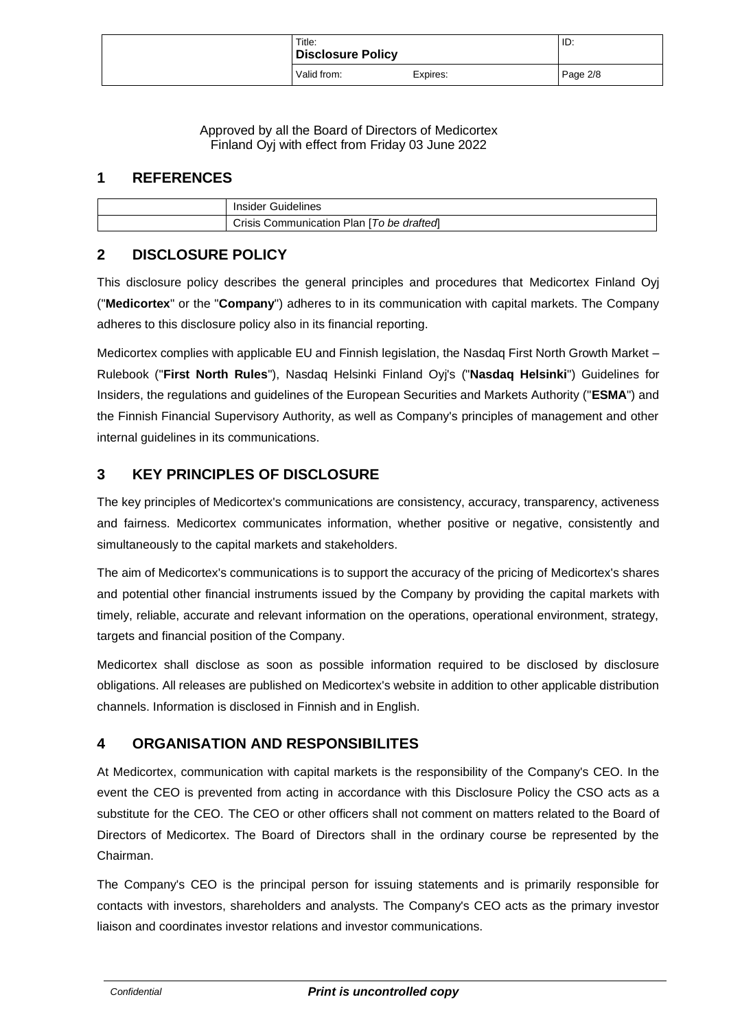| Title:<br><b>Disclosure Policy</b> |          | ID:      |
|------------------------------------|----------|----------|
| Valid from:                        | Expires: | Page 2/8 |

Approved by all the Board of Directors of Medicortex Finland Oyj with effect from Friday 03 June 2022

### <span id="page-1-0"></span>**1 REFERENCES**

| Insider Guidelines                        |
|-------------------------------------------|
| Crisis Communication Plan [To be drafted] |

## <span id="page-1-1"></span>**2 DISCLOSURE POLICY**

This disclosure policy describes the general principles and procedures that Medicortex Finland Oyj ("**Medicortex**" or the "**Company**") adheres to in its communication with capital markets. The Company adheres to this disclosure policy also in its financial reporting.

Medicortex complies with applicable EU and Finnish legislation, the Nasdaq First North Growth Market – Rulebook ("**First North Rules**"), Nasdaq Helsinki Finland Oyj's ("**Nasdaq Helsinki**") Guidelines for Insiders, the regulations and guidelines of the European Securities and Markets Authority ("**ESMA**") and the Finnish Financial Supervisory Authority, as well as Company's principles of management and other internal guidelines in its communications.

## <span id="page-1-2"></span>**3 KEY PRINCIPLES OF DISCLOSURE**

The key principles of Medicortex's communications are consistency, accuracy, transparency, activeness and fairness. Medicortex communicates information, whether positive or negative, consistently and simultaneously to the capital markets and stakeholders.

The aim of Medicortex's communications is to support the accuracy of the pricing of Medicortex's shares and potential other financial instruments issued by the Company by providing the capital markets with timely, reliable, accurate and relevant information on the operations, operational environment, strategy, targets and financial position of the Company.

Medicortex shall disclose as soon as possible information required to be disclosed by disclosure obligations. All releases are published on Medicortex's website in addition to other applicable distribution channels. Information is disclosed in Finnish and in English.

## <span id="page-1-3"></span>**4 ORGANISATION AND RESPONSIBILITES**

At Medicortex, communication with capital markets is the responsibility of the Company's CEO. In the event the CEO is prevented from acting in accordance with this Disclosure Policy the CSO acts as a substitute for the CEO. The CEO or other officers shall not comment on matters related to the Board of Directors of Medicortex. The Board of Directors shall in the ordinary course be represented by the Chairman.

The Company's CEO is the principal person for issuing statements and is primarily responsible for contacts with investors, shareholders and analysts. The Company's CEO acts as the primary investor liaison and coordinates investor relations and investor communications.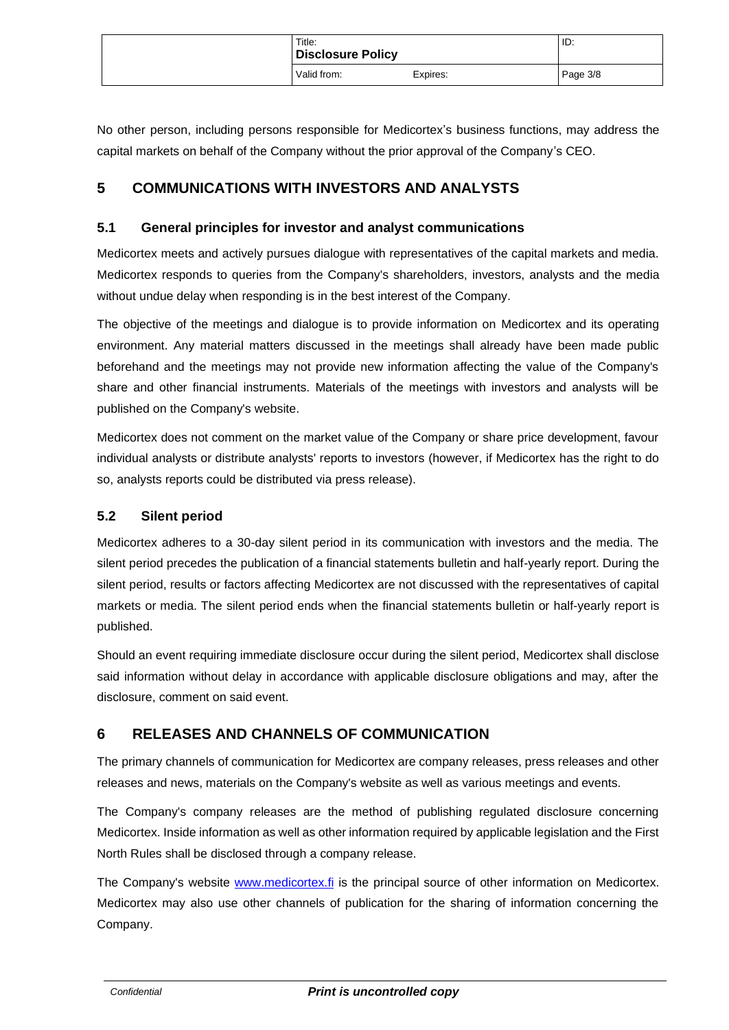| Title:<br><b>Disclosure Policy</b> |          | ID:      |
|------------------------------------|----------|----------|
| Valid from:                        | Expires: | Page 3/8 |

No other person, including persons responsible for Medicortex's business functions, may address the capital markets on behalf of the Company without the prior approval of the Company's CEO.

### <span id="page-2-0"></span>**5 COMMUNICATIONS WITH INVESTORS AND ANALYSTS**

#### <span id="page-2-1"></span>**5.1 General principles for investor and analyst communications**

Medicortex meets and actively pursues dialogue with representatives of the capital markets and media. Medicortex responds to queries from the Company's shareholders, investors, analysts and the media without undue delay when responding is in the best interest of the Company.

The objective of the meetings and dialogue is to provide information on Medicortex and its operating environment. Any material matters discussed in the meetings shall already have been made public beforehand and the meetings may not provide new information affecting the value of the Company's share and other financial instruments. Materials of the meetings with investors and analysts will be published on the Company's website.

Medicortex does not comment on the market value of the Company or share price development, favour individual analysts or distribute analysts' reports to investors (however, if Medicortex has the right to do so, analysts reports could be distributed via press release).

#### <span id="page-2-2"></span>**5.2 Silent period**

Medicortex adheres to a 30-day silent period in its communication with investors and the media. The silent period precedes the publication of a financial statements bulletin and half-yearly report. During the silent period, results or factors affecting Medicortex are not discussed with the representatives of capital markets or media. The silent period ends when the financial statements bulletin or half-yearly report is published.

Should an event requiring immediate disclosure occur during the silent period, Medicortex shall disclose said information without delay in accordance with applicable disclosure obligations and may, after the disclosure, comment on said event.

## <span id="page-2-3"></span>**6 RELEASES AND CHANNELS OF COMMUNICATION**

The primary channels of communication for Medicortex are company releases, press releases and other releases and news, materials on the Company's website as well as various meetings and events.

The Company's company releases are the method of publishing regulated disclosure concerning Medicortex. Inside information as well as other information required by applicable legislation and the First North Rules shall be disclosed through a company release.

The Company's website [www.medicortex.fi](http://www.medicortex.fi/) is the principal source of other information on Medicortex. Medicortex may also use other channels of publication for the sharing of information concerning the Company.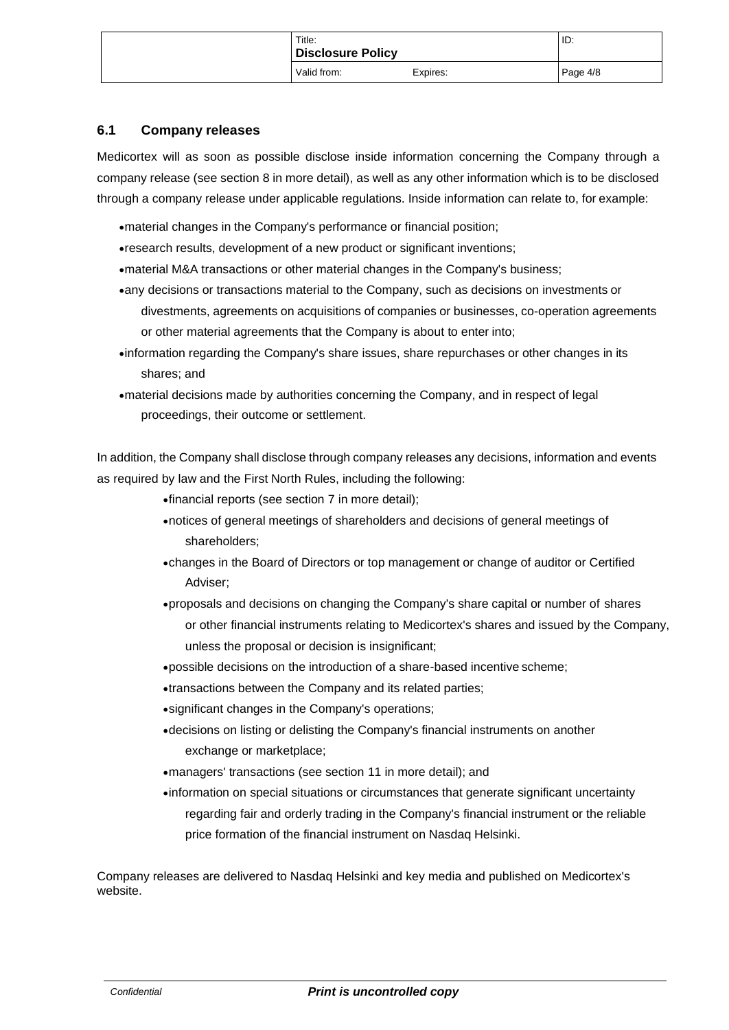| Title:<br><b>Disclosure Policy</b> |          | ID:      |
|------------------------------------|----------|----------|
| Valid from:                        | Expires: | Page 4/8 |

#### <span id="page-3-0"></span>**6.1 Company releases**

Medicortex will as soon as possible disclose inside information concerning the Company through a company release (see section 8 in more detail), as well as any other information which is to be disclosed through a company release under applicable regulations. Inside information can relate to, for example:

- •material changes in the Company's performance or financial position;
- •research results, development of a new product or significant inventions;
- •material M&A transactions or other material changes in the Company's business;
- •any decisions or transactions material to the Company, such as decisions on investments or divestments, agreements on acquisitions of companies or businesses, co-operation agreements or other material agreements that the Company is about to enter into;
- •information regarding the Company's share issues, share repurchases or other changes in its shares; and
- •material decisions made by authorities concerning the Company, and in respect of legal proceedings, their outcome or settlement.

In addition, the Company shall disclose through company releases any decisions, information and events as required by law and the First North Rules, including the following:

- •financial reports (see section 7 in more detail);
- •notices of general meetings of shareholders and decisions of general meetings of shareholders;
- •changes in the Board of Directors or top management or change of auditor or Certified Adviser;
- •proposals and decisions on changing the Company's share capital or number of shares or other financial instruments relating to Medicortex's shares and issued by the Company, unless the proposal or decision is insignificant;
- •possible decisions on the introduction of a share-based incentivescheme;
- •transactions between the Company and its related parties;
- •significant changes in the Company's operations;
- •decisions on listing or delisting the Company's financial instruments on another exchange or marketplace;
- •managers' transactions (see section 11 in more detail); and
- •information on special situations or circumstances that generate significant uncertainty regarding fair and orderly trading in the Company's financial instrument or the reliable price formation of the financial instrument on Nasdaq Helsinki.

Company releases are delivered to Nasdaq Helsinki and key media and published on Medicortex's website.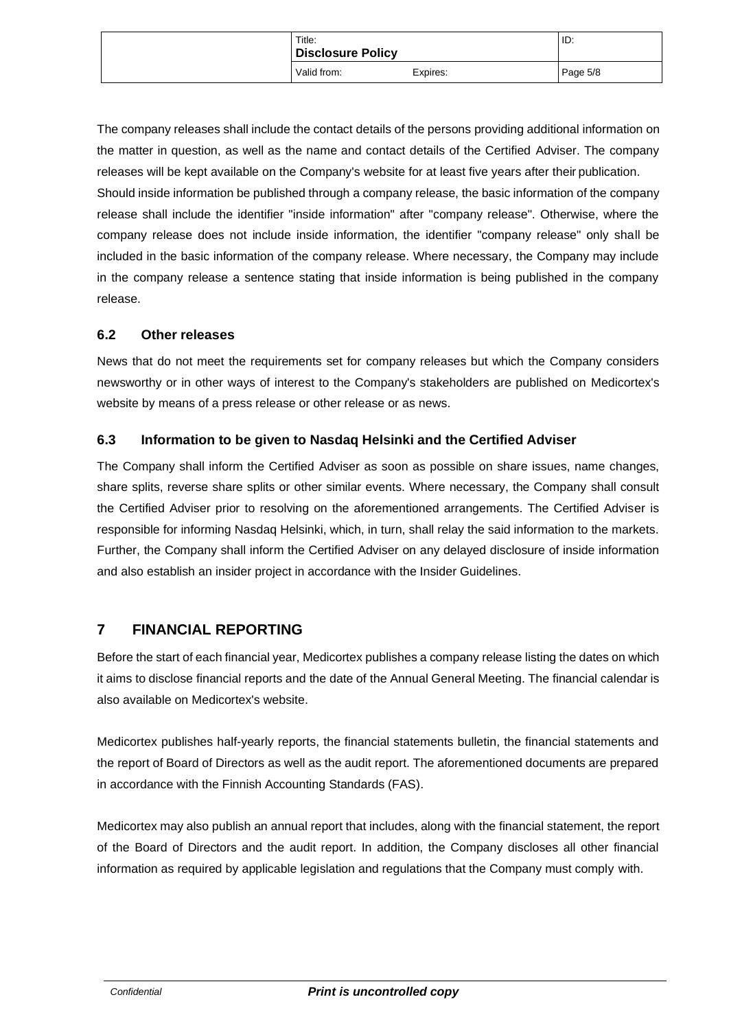| Title:<br><b>Disclosure Policy</b> |          | ID:      |
|------------------------------------|----------|----------|
| Valid from:                        | Expires: | Page 5/8 |

The company releases shall include the contact details of the persons providing additional information on the matter in question, as well as the name and contact details of the Certified Adviser. The company releases will be kept available on the Company's website for at least five years after their publication. Should inside information be published through a company release, the basic information of the company release shall include the identifier "inside information" after "company release". Otherwise, where the company release does not include inside information, the identifier "company release" only shall be included in the basic information of the company release. Where necessary, the Company may include in the company release a sentence stating that inside information is being published in the company release.

#### <span id="page-4-0"></span>**6.2 Other releases**

News that do not meet the requirements set for company releases but which the Company considers newsworthy or in other ways of interest to the Company's stakeholders are published on Medicortex's website by means of a press release or other release or as news.

#### <span id="page-4-1"></span>**6.3 Information to be given to Nasdaq Helsinki and the Certified Adviser**

The Company shall inform the Certified Adviser as soon as possible on share issues, name changes, share splits, reverse share splits or other similar events. Where necessary, the Company shall consult the Certified Adviser prior to resolving on the aforementioned arrangements. The Certified Adviser is responsible for informing Nasdaq Helsinki, which, in turn, shall relay the said information to the markets. Further, the Company shall inform the Certified Adviser on any delayed disclosure of inside information and also establish an insider project in accordance with the Insider Guidelines.

### <span id="page-4-2"></span>**7 FINANCIAL REPORTING**

Before the start of each financial year, Medicortex publishes a company release listing the dates on which it aims to disclose financial reports and the date of the Annual General Meeting. The financial calendar is also available on Medicortex's website.

Medicortex publishes half-yearly reports, the financial statements bulletin, the financial statements and the report of Board of Directors as well as the audit report. The aforementioned documents are prepared in accordance with the Finnish Accounting Standards (FAS).

Medicortex may also publish an annual report that includes, along with the financial statement, the report of the Board of Directors and the audit report. In addition, the Company discloses all other financial information as required by applicable legislation and regulations that the Company must comply with.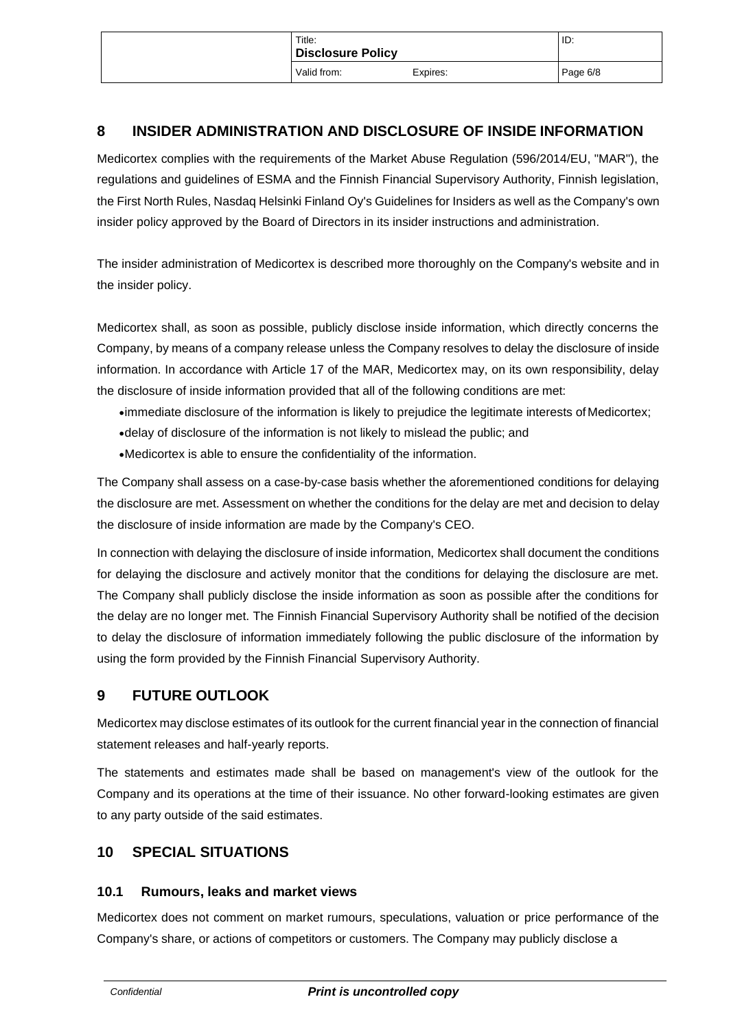| Title:<br>Disclosure Policy |          | ID:      |
|-----------------------------|----------|----------|
| Valid from:                 | Expires: | Page 6/8 |

### <span id="page-5-0"></span>**8 INSIDER ADMINISTRATION AND DISCLOSURE OF INSIDE INFORMATION**

Medicortex complies with the requirements of the Market Abuse Regulation (596/2014/EU, "MAR"), the regulations and guidelines of ESMA and the Finnish Financial Supervisory Authority, Finnish legislation, the First North Rules, Nasdaq Helsinki Finland Oy's Guidelines for Insiders as well as the Company's own insider policy approved by the Board of Directors in its insider instructions andadministration.

The insider administration of Medicortex is described more thoroughly on the Company's website and in the insider policy.

Medicortex shall, as soon as possible, publicly disclose inside information, which directly concerns the Company, by means of a company release unless the Company resolves to delay the disclosure of inside information. In accordance with Article 17 of the MAR, Medicortex may, on its own responsibility, delay the disclosure of inside information provided that all of the following conditions are met:

- •immediate disclosure of the information is likely to prejudice the legitimate interests of Medicortex;
- •delay of disclosure of the information is not likely to mislead the public; and
- •Medicortex is able to ensure the confidentiality of the information.

The Company shall assess on a case-by-case basis whether the aforementioned conditions for delaying the disclosure are met. Assessment on whether the conditions for the delay are met and decision to delay the disclosure of inside information are made by the Company's CEO.

In connection with delaying the disclosure of inside information, Medicortex shall document the conditions for delaying the disclosure and actively monitor that the conditions for delaying the disclosure are met. The Company shall publicly disclose the inside information as soon as possible after the conditions for the delay are no longer met. The Finnish Financial Supervisory Authority shall be notified of the decision to delay the disclosure of information immediately following the public disclosure of the information by using the form provided by the Finnish Financial Supervisory Authority.

## <span id="page-5-1"></span>**9 FUTURE OUTLOOK**

Medicortex may disclose estimates of its outlook for the current financial year in the connection of financial statement releases and half-yearly reports.

The statements and estimates made shall be based on management's view of the outlook for the Company and its operations at the time of their issuance. No other forward-looking estimates are given to any party outside of the said estimates.

### <span id="page-5-2"></span>**10 SPECIAL SITUATIONS**

#### <span id="page-5-3"></span>**10.1 Rumours, leaks and market views**

Medicortex does not comment on market rumours, speculations, valuation or price performance of the Company's share, or actions of competitors or customers. The Company may publicly disclose a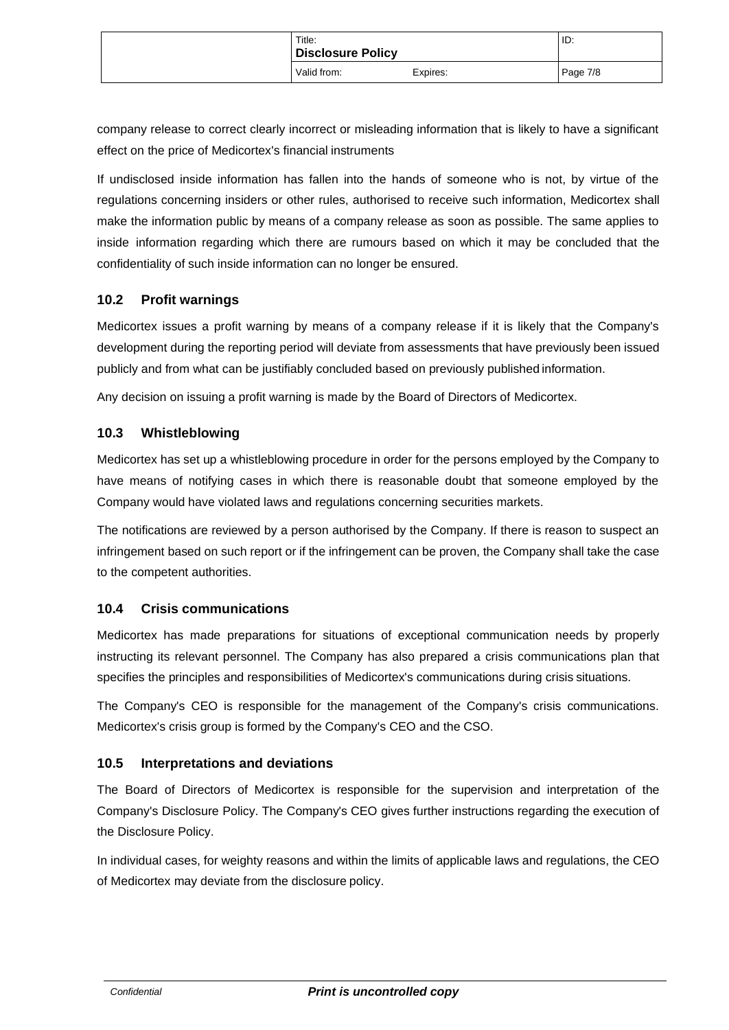| Title:<br><b>Disclosure Policy</b> |          | ID:      |
|------------------------------------|----------|----------|
| Valid from:                        | Expires: | Page 7/8 |

company release to correct clearly incorrect or misleading information that is likely to have a significant effect on the price of Medicortex's financial instruments

If undisclosed inside information has fallen into the hands of someone who is not, by virtue of the regulations concerning insiders or other rules, authorised to receive such information, Medicortex shall make the information public by means of a company release as soon as possible. The same applies to inside information regarding which there are rumours based on which it may be concluded that the confidentiality of such inside information can no longer be ensured.

#### <span id="page-6-0"></span>**10.2 Profit warnings**

Medicortex issues a profit warning by means of a company release if it is likely that the Company's development during the reporting period will deviate from assessments that have previously been issued publicly and from what can be justifiably concluded based on previously publishedinformation.

Any decision on issuing a profit warning is made by the Board of Directors of Medicortex.

#### <span id="page-6-1"></span>**10.3 Whistleblowing**

Medicortex has set up a whistleblowing procedure in order for the persons employed by the Company to have means of notifying cases in which there is reasonable doubt that someone employed by the Company would have violated laws and regulations concerning securities markets.

The notifications are reviewed by a person authorised by the Company. If there is reason to suspect an infringement based on such report or if the infringement can be proven, the Company shall take the case to the competent authorities.

### <span id="page-6-2"></span>**10.4 Crisis communications**

Medicortex has made preparations for situations of exceptional communication needs by properly instructing its relevant personnel. The Company has also prepared a crisis communications plan that specifies the principles and responsibilities of Medicortex's communications during crisis situations.

The Company's CEO is responsible for the management of the Company's crisis communications. Medicortex's crisis group is formed by the Company's CEO and the CSO.

#### <span id="page-6-3"></span>**10.5 Interpretations and deviations**

The Board of Directors of Medicortex is responsible for the supervision and interpretation of the Company's Disclosure Policy. The Company's CEO gives further instructions regarding the execution of the Disclosure Policy.

In individual cases, for weighty reasons and within the limits of applicable laws and regulations, the CEO of Medicortex may deviate from the disclosure policy.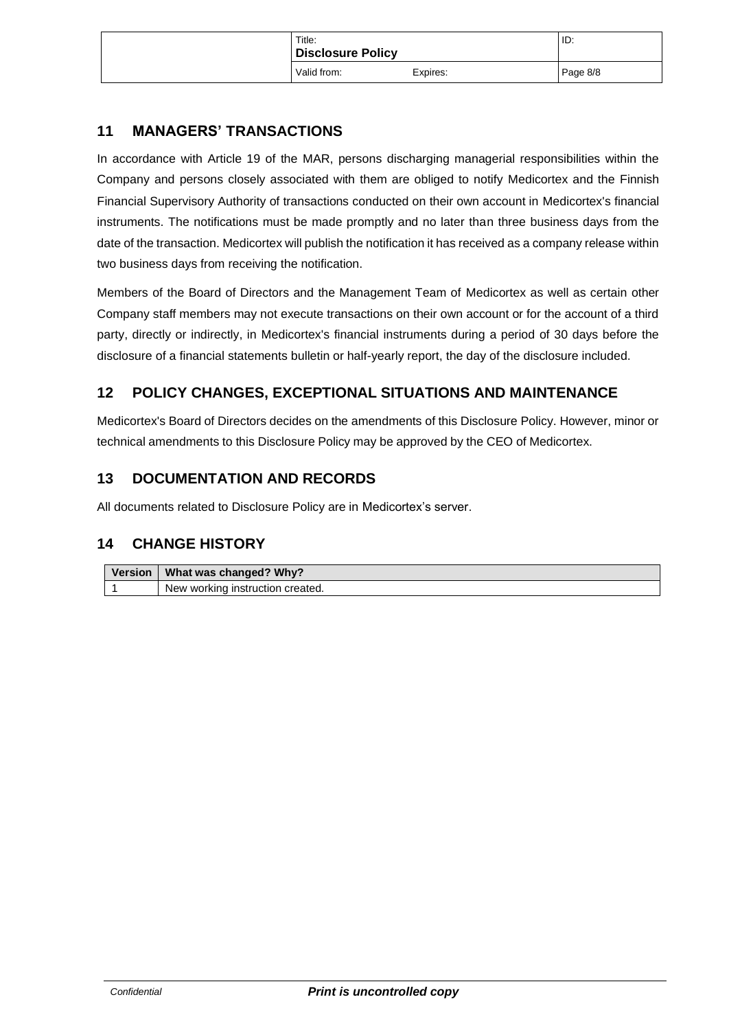| Title:<br>Disclosure Policy |          | ID:      |
|-----------------------------|----------|----------|
| Valid from:                 | Expires: | Page 8/8 |

## <span id="page-7-0"></span>**11 MANAGERS' TRANSACTIONS**

In accordance with Article 19 of the MAR, persons discharging managerial responsibilities within the Company and persons closely associated with them are obliged to notify Medicortex and the Finnish Financial Supervisory Authority of transactions conducted on their own account in Medicortex's financial instruments. The notifications must be made promptly and no later than three business days from the date of the transaction. Medicortex will publish the notification it has received as a company release within two business days from receiving the notification.

Members of the Board of Directors and the Management Team of Medicortex as well as certain other Company staff members may not execute transactions on their own account or for the account of a third party, directly or indirectly, in Medicortex's financial instruments during a period of 30 days before the disclosure of a financial statements bulletin or half-yearly report, the day of the disclosure included.

# <span id="page-7-1"></span>**12 POLICY CHANGES, EXCEPTIONAL SITUATIONS AND MAINTENANCE**

Medicortex's Board of Directors decides on the amendments of this Disclosure Policy. However, minor or technical amendments to this Disclosure Policy may be approved by the CEO of Medicortex.

# <span id="page-7-2"></span>**13 DOCUMENTATION AND RECORDS**

All documents related to Disclosure Policy are in Medicortex's server.

## <span id="page-7-3"></span>**14 CHANGE HISTORY**

| Version   What was changed? Why? |
|----------------------------------|
| New working instruction created. |